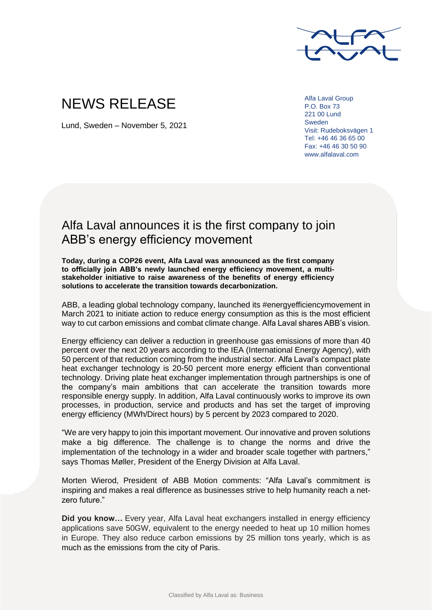

## NEWS RELEASE

Lund, Sweden – November 5, 2021

Alfa Laval Group P.O. Box 73 221 00 Lund Sweden Visit: Rudeboksvägen 1 Tel: +46 46 36 65 00 Fax: +46 46 30 50 90 www.alfalaval.com

## Alfa Laval announces it is the first company to join ABB's energy efficiency movement

**Today, during a COP26 event, Alfa Laval was announced as the first company to officially join ABB's newly launched energy efficiency movement, a multistakeholder initiative to raise awareness of the benefits of energy efficiency solutions to accelerate the transition towards decarbonization.**

ABB, a leading global technology company, launched its #energyefficiencymovement in March 2021 to initiate action to reduce energy consumption as this is the most efficient way to cut carbon emissions and combat climate change. Alfa Laval shares ABB's vision.

Energy efficiency can deliver a reduction in greenhouse gas emissions of more than 40 percent over the next 20 years according to the IEA (International Energy Agency), with 50 percent of that reduction coming from the industrial sector. Alfa Laval's compact plate heat exchanger technology is 20-50 percent more energy efficient than conventional technology. Driving plate heat exchanger implementation through partnerships is one of the company's main ambitions that can accelerate the transition towards more responsible energy supply. In addition, Alfa Laval continuously works to improve its own processes, in production, service and products and has set the target of improving energy efficiency (MWh/Direct hours) by 5 percent by 2023 compared to 2020.

"We are very happy to join this important movement. Our innovative and proven solutions make a big difference. The challenge is to change the norms and drive the implementation of the technology in a wider and broader scale together with partners," says Thomas Møller, President of the Energy Division at Alfa Laval.

Morten Wierod, President of ABB Motion comments: "Alfa Laval's commitment is inspiring and makes a real difference as businesses strive to help humanity reach a netzero future."

**Did you know…** Every year, Alfa Laval heat exchangers installed in energy efficiency applications save 50GW, equivalent to the energy needed to heat up 10 million homes in Europe. They also reduce carbon emissions by 25 million tons yearly, which is as much as the emissions from the city of Paris.